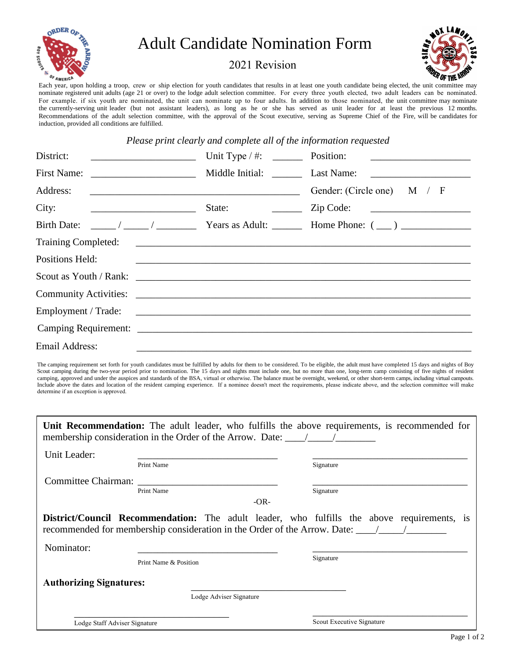

## Adult Candidate Nomination Form

## 2021 Revision



Each year, upon holding a troop, crew or ship election for youth candidates that results in at least one youth candidate being elected, the unit committee may nominate registered unit adults (age 21 or over) to the lodge adult selection committee. For every three youth elected, two adult leaders can be nominated. For example. if six youth are nominated, the unit can nominate up to four adults. In addition to those nominated, the unit committee may nominate the currently-serving unit leader (but not assistant leaders), as long as he or she has served as unit leader for at least the previous 12 months. Recommendations of the adult selection committee, with the approval of the Scout executive, serving as Supreme Chief of the Fire, will be candidates for induction, provided all conditions are fulfilled.

*Please print clearly and complete all of the information requested* 

| District:<br><u> 1989 - Johann Harry Barn, mars ar breist fan de Fryske kommunenter (</u> | <u> 1980 - Andrea Albert III, mar an Andrea Albert III, mar an Andrea Albert III, mar an Andrea Albert III, mar a</u>                                                                                                          |
|-------------------------------------------------------------------------------------------|--------------------------------------------------------------------------------------------------------------------------------------------------------------------------------------------------------------------------------|
|                                                                                           |                                                                                                                                                                                                                                |
| Address:                                                                                  | Gender: (Circle one) $M / F$                                                                                                                                                                                                   |
| City: $\qquad \qquad \qquad$                                                              | $\mathsf{Zip Code:}$                                                                                                                                                                                                           |
| <b>Birth Date:</b>                                                                        |                                                                                                                                                                                                                                |
|                                                                                           |                                                                                                                                                                                                                                |
| <b>Positions Held:</b>                                                                    | <u> 1990 - Jan Barbara, martxa eta batarra harta harta harta harta harta harta harta harta harta harta harta ha</u>                                                                                                            |
|                                                                                           | Scout as Youth / Rank: 2000 and 2000 and 2000 and 2000 and 2000 and 2000 and 2000 and 2000 and 2000 and 2000 and 2000 and 2000 and 2000 and 2000 and 2000 and 2000 and 2000 and 2000 and 2000 and 2000 and 2000 and 2000 and 2 |
|                                                                                           |                                                                                                                                                                                                                                |
|                                                                                           |                                                                                                                                                                                                                                |
|                                                                                           |                                                                                                                                                                                                                                |
| Email Address:                                                                            |                                                                                                                                                                                                                                |

The camping requirement set forth for youth candidates must be fulfilled by adults for them to be considered. To be eligible, the adult must have completed 15 days and nights of Boy Scout camping during the two-year period prior to nomination. The 15 days and nights must include one, but no more than one, long-term camp consisting of five nights of resident camping, approved and under the auspices and standards of the BSA, virtual or otherwise. The balance must be overnight, weekend, or other short-term camps, including virtual campouts. Include above the dates and location of the resident camping experience. If a nominee doesn't meet the requirements, please indicate above, and the selection committee will make determine if an exception is approved.

|                                   | membership consideration in the Order of the Arrow. Date: $\frac{\ }{\ }$ | Unit Recommendation: The adult leader, who fulfills the above requirements, is recommended for    |
|-----------------------------------|---------------------------------------------------------------------------|---------------------------------------------------------------------------------------------------|
| Unit Leader:<br>Print Name        |                                                                           | Signature                                                                                         |
| Committee Chairman:<br>Print Name | $-OR-$                                                                    | Signature                                                                                         |
|                                   |                                                                           | <b>District/Council Recommendation:</b> The adult leader, who fulfills the above requirements, is |
| Nominator:                        | Print Name & Position                                                     | Signature                                                                                         |
| <b>Authorizing Signatures:</b>    |                                                                           |                                                                                                   |
| Lodge Staff Adviser Signature     | Lodge Adviser Signature                                                   | Scout Executive Signature                                                                         |